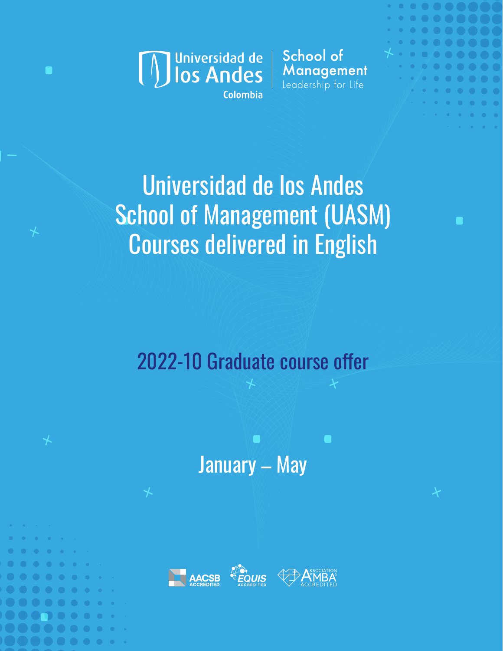

School of Management Leadership for Life



# Universidad de los Andes School of Management (UASM) Courses delivered in English

2022-10 Graduate course offer

January – May

П

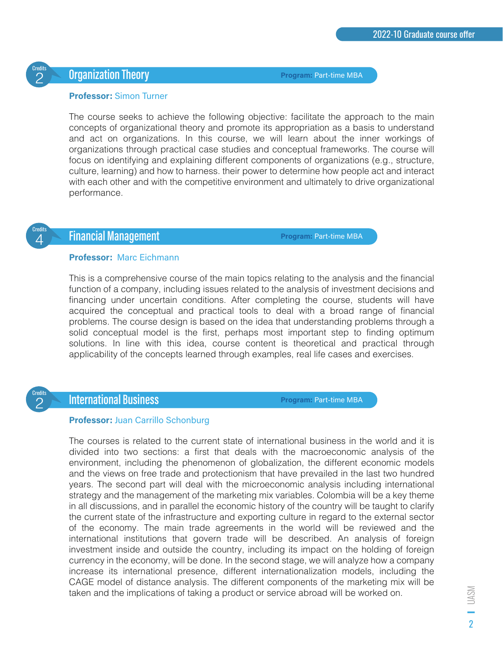# $\overline{{\mathcal P}}$   $\overline{\phantom{\big(}\phantom{\overline{\mathcal P}}\phantom{\overline{\mathcal P}}\phantom{\overline{\mathcal P}}\phantom{\overline{\mathcal P}}\phantom{\overline{\mathcal P}}\phantom{\overline{\mathcal P}}\phantom{\overline{\mathcal P}}\phantom{\overline{\mathcal P}}\phantom{\overline{\mathcal P}}\phantom{\overline{\mathcal P}}\phantom{\overline{\mathcal P}}\phantom{\overline{\mathcal P}}\phantom{\overline{\mathcal P}}\phantom{\overline{\mathcal P}}\phantom{\overline{\mathcal P}}\phantom{\overline{\mathcal P}}\phantom{\overline{\mathcal P}}\phantom{\overline{\mathcal P}}\$

**Program:** Part-time MBA

#### **Professor:** Simon Turner

The course seeks to achieve the following objective: facilitate the approach to the main concepts of organizational theory and promote its appropriation as a basis to understand and act on organizations. In this course, we will learn about the inner workings of organizations through practical case studies and conceptual frameworks. The course will focus on identifying and explaining different components of organizations (e.g., structure, culture, learning) and how to harness. their power to determine how people act and interact with each other and with the competitive environment and ultimately to drive organizational performance.



2

# **Financial Management**

**Program:** Part-time MBA

#### **Professor:** Marc Eichmann

This is a comprehensive course of the main topics relating to the analysis and the financial function of a company, including issues related to the analysis of investment decisions and financing under uncertain conditions. After completing the course, students will have acquired the conceptual and practical tools to deal with a broad range of financial problems. The course design is based on the idea that understanding problems through a solid conceptual model is the first, perhaps most important step to finding optimum solutions. In line with this idea, course content is theoretical and practical through applicability of the concepts learned through examples, real life cases and exercises.



## **International Business**

**Program:** Part-time MBA

#### **Professor:** Juan Carrillo Schonburg

The courses is related to the current state of international business in the world and it is divided into two sections: a first that deals with the macroeconomic analysis of the environment, including the phenomenon of globalization, the different economic models and the views on free trade and protectionism that have prevailed in the last two hundred years. The second part will deal with the microeconomic analysis including international strategy and the management of the marketing mix variables. Colombia will be a key theme in all discussions, and in parallel the economic history of the country will be taught to clarify the current state of the infrastructure and exporting culture in regard to the external sector of the economy. The main trade agreements in the world will be reviewed and the international institutions that govern trade will be described. An analysis of foreign investment inside and outside the country, including its impact on the holding of foreign currency in the economy, will be done. In the second stage, we will analyze how a company increase its international presence, different internationalization models, including the CAGE model of distance analysis. The different components of the marketing mix will be taken and the implications of taking a product or service abroad will be worked on.